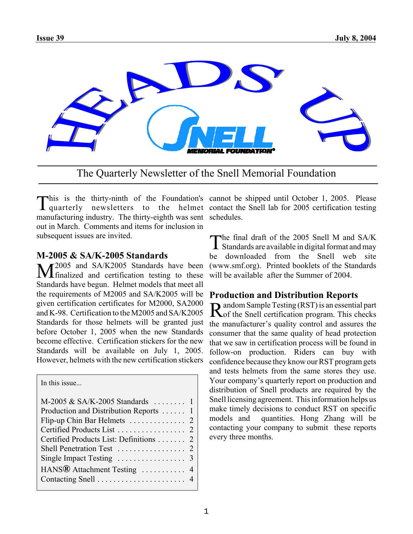

The Quarterly Newsletter of the Snell Memorial Foundation

manufacturing industry. The thirty-eighth was sent schedules. out in March. Comments and items for inclusion in subsequent issues are invited.

### **M-2005 & SA/K-2005 Standards**

T2005 and SA/K2005 Standards have been **I** finalized and certification testing to these Standards have begun. Helmet models that meet all the requirements of M2005 and SA/K2005 will be given certification certificates for M2000, SA2000 and K-98. Certification to the M2005 and SA/K2005 Standards for those helmets will be granted just before October 1, 2005 when the new Standards become effective. Certification stickers for the new Standards will be available on July 1, 2005. However, helmets with the new certification stickers

In this issue...

| M-2005 & SA/K-2005 Standards  1         |  |
|-----------------------------------------|--|
| Production and Distribution Reports  1  |  |
|                                         |  |
|                                         |  |
| Certified Products List: Definitions  2 |  |
|                                         |  |
|                                         |  |
|                                         |  |
|                                         |  |
|                                         |  |

This is the thirty-ninth of the Foundation's cannot be shipped until October 1, 2005. Please<br>quarterly newsletters to the helmet contact the Snell lab for 2005 certification testing  $\blacksquare$  his is the thirty-ninth of the Foundation's cannot be shipped until October 1, 2005. Please

> The final draft of the 2005 Snell M and SA/K<br>Standards are available in digital format and may be downloaded from the Snell web site (www.smf.org). Printed booklets of the Standards will be available after the Summer of 2004.

## **Production and Distribution Reports**

Random Sample Testing (RST) is an essential part<br>
Rof the Snell certification program. This checks the manufacturer's quality control and assures the consumer that the same quality of head protection that we saw in certification process will be found in follow-on production. Riders can buy with confidence because they know our RST program gets and tests helmets from the same stores they use. Your company's quarterly report on production and distribution of Snell products are required by the Snell licensing agreement. This information helps us make timely decisions to conduct RST on specific models and quantities. Hong Zhang will be contacting your company to submit these reports every three months.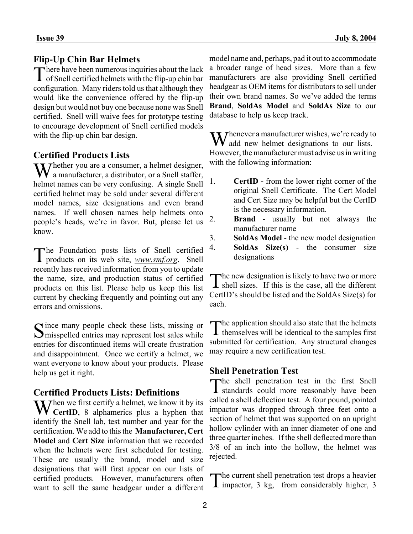# **Flip-Up Chin Bar Helmets**

There have been numerous inquiries about the lack of Snell certified helmets with the flip-up chin bar configuration. Many riders told us that although they would like the convenience offered by the flip-up design but would not buy one because none was Snell certified. Snell will waive fees for prototype testing to encourage development of Snell certified models with the flip-up chin bar design.

# **Certified Products Lists**

Whether you are a consumer, a helmet designer, a manufacturer, a distributor, or a Snell staffer, helmet names can be very confusing. A single Snell certified helmet may be sold under several different model names, size designations and even brand names. If well chosen names help helmets onto people's heads, we're in favor. But, please let us know.

The Foundation posts lists of Snell certified products on its web site, *www.smf.org*. Snell recently has received information from you to update the name, size, and production status of certified products on this list. Please help us keep this list current by checking frequently and pointing out any errors and omissions.

Since many people check these lists, missing or<br>Smisspelled entries may represent lost sales while entries for discontinued items will create frustration and disappointment. Once we certify a helmet, we want everyone to know about your products. Please help us get it right.

### **Certified Products Lists: Definitions**

When we first certify a helmet, we know it by its<br>CertID, 8 alphamerics plus a hyphen that **CertID**, 8 alphamerics plus a hyphen that identify the Snell lab, test number and year for the certification. We add to this the **Manufacturer, Cert Model** and **Cert Size** information that we recorded when the helmets were first scheduled for testing. These are usually the brand, model and size designations that will first appear on our lists of certified products. However, manufacturers often want to sell the same headgear under a different

model name and, perhaps, pad it out to accommodate a broader range of head sizes. More than a few manufacturers are also providing Snell certified headgear as OEM items for distributors to sell under their own brand names. So we've added the terms **Brand**, **SoldAs Model** and **SoldAs Size** to our database to help us keep track.

Whenever a manufacturer wishes, we're ready to add new halmot dividends  $\bf{V}$  add new helmet designations to our lists. However, the manufacturer must advise us in writing with the following information:

- 1. **CertID** from the lower right corner of the original Snell Certificate. The Cert Model and Cert Size may be helpful but the CertID is the necessary information.
- 2. **Brand** usually but not always the manufacturer name
- 3. **SoldAs Model** the new model designation
- 4. **SoldAs Size(s)** the consumer size designations

The new designation is likely to have two or more<br>
Shell sizes. If this is the case, all the different CertID's should be listed and the SoldAs Size(s) for each.

The application should also state that the helmets<br>themselves will be identical to the samples first submitted for certification. Any structural changes may require a new certification test.

### **Shell Penetration Test**

The shell penetration test in the first Snell standards could more reasonably have been called a shell deflection test. A four pound, pointed impactor was dropped through three feet onto a section of helmet that was supported on an upright hollow cylinder with an inner diameter of one and three quarter inches. If the shell deflected more than 3/8 of an inch into the hollow, the helmet was rejected.

The current shell penetration test drops a heavier<br>impactor, 3 kg, from considerably higher, 3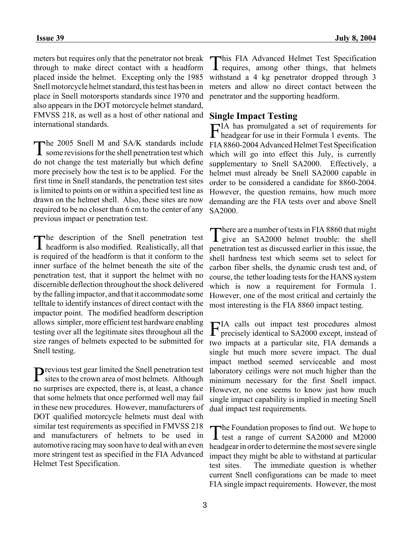meters but requires only that the penetrator not break through to make direct contact with a headform placed inside the helmet. Excepting only the 1985 Snell motorcycle helmet standard, this test has been in place in Snell motorsports standards since 1970 and also appears in the DOT motorcycle helmet standard, FMVSS 218, as well as a host of other national and international standards.

The 2005 Snell M and SA/K standards include<br>
some revisions for the shell penetration test which do not change the test materially but which define more precisely how the test is to be applied. For the first time in Snell standards, the penetration test sites is limited to points on or within a specified test line as drawn on the helmet shell. Also, these sites are now required to be no closer than 6 cm to the center of any previous impact or penetration test.

The description of the Snell penetration test headform is also modified. Realistically, all that is required of the headform is that it conform to the inner surface of the helmet beneath the site of the penetration test, that it support the helmet with no discernible deflection throughout the shock delivered by the falling impactor, and that it accommodate some telltale to identify instances of direct contact with the impactor point. The modified headform description allows simpler, more efficient test hardware enabling testing over all the legitimate sites throughout all the size ranges of helmets expected to be submitted for Snell testing.

Previous test gear limited the Snell penetration test<br>sites to the crown area of most helmets. Although no surprises are expected, there is, at least, a chance that some helmets that once performed well may fail in these new procedures. However, manufacturers of DOT qualified motorcycle helmets must deal with similar test requirements as specified in FMVSS 218 and manufacturers of helmets to be used in automotive racing may soon have to deal with an even more stringent test as specified in the FIA Advanced Helmet Test Specification.

This FIA Advanced Helmet Test Specification requires, among other things, that helmets withstand a 4 kg penetrator dropped through 3 meters and allow no direct contact between the penetrator and the supporting headform.

# **Single Impact Testing**

FIA has promulgated a set of requirements for headgear for use in their Formula 1 events. The FIA 8860-2004 Advanced Helmet Test Specification which will go into effect this July, is currently supplementary to Snell SA2000. Effectively, a helmet must already be Snell SA2000 capable in order to be considered a candidate for 8860-2004. However, the question remains, how much more demanding are the FIA tests over and above Snell SA2000.

There are a number of tests in FIA 8860 that might<br>give an SA2000 helmet trouble: the shell penetration test as discussed earlier in this issue, the shell hardness test which seems set to select for carbon fiber shells, the dynamic crush test and, of course, the tether loading tests for the HANS system which is now a requirement for Formula 1. However, one of the most critical and certainly the most interesting is the FIA 8860 impact testing.

FIA calls out impact test procedures almost precisely identical to SA2000 except, instead of two impacts at a particular site, FIA demands a single but much more severe impact. The dual impact method seemed serviceable and most laboratory ceilings were not much higher than the minimum necessary for the first Snell impact. However, no one seems to know just how much single impact capability is implied in meeting Snell dual impact test requirements.

The Foundation proposes to find out. We hope to test a range of current SA2000 and M2000 headgear in order to determine the most severe single impact they might be able to withstand at particular test sites. The immediate question is whether current Snell configurations can be made to meet FIA single impact requirements. However, the most